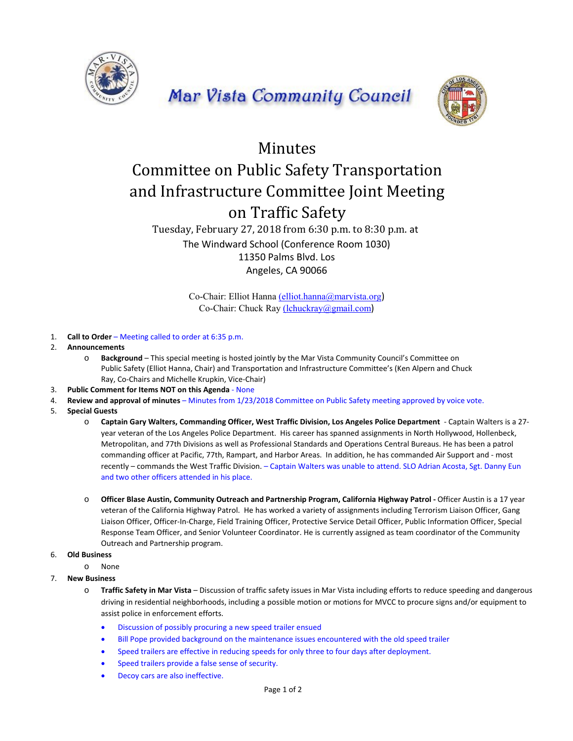





## Minutes

## Committee on Public Safety Transportation and Infrastructure Committee Joint Meeting on Traffic Safety

## Tuesday, February 27, 2018 from 6:30 p.m. to 8:30 p.m. at The Windward School (Conference Room 1030) 11350 Palms Blvd. Los Angeles, CA 90066

Co-Chair: Elliot Hanna (elliot.hanna@marvista.org) Co-Chair: Chuck Ray (lchuckray@gmail.com)

- 1. **Call to Order**  Meeting called to order at 6:35 p.m.
- 2. **Announcements**
	- o **Background**  This special meeting is hosted jointly by the Mar Vista Community Council's Committee on Public Safety (Elliot Hanna, Chair) and Transportation and Infrastructure Committee's (Ken Alpern and Chuck Ray, Co‐Chairs and Michelle Krupkin, Vice‐Chair)
- 3. **Public Comment for Items NOT on this Agenda** ‐ None
- 4. **Review and approval of minutes**  Minutes from 1/23/2018 Committee on Public Safety meeting approved by voice vote.
- 5. **Special Guests**
	- o **Captain Gary Walters, Commanding Officer, West Traffic Division, Los Angeles Police Department**  ‐ Captain Walters is a 27‐ year veteran of the Los Angeles Police Department. His career has spanned assignments in North Hollywood, Hollenbeck, Metropolitan, and 77th Divisions as well as Professional Standards and Operations Central Bureaus. He has been a patrol commanding officer at Pacific, 77th, Rampart, and Harbor Areas. In addition, he has commanded Air Support and ‐ most recently – commands the West Traffic Division. – Captain Walters was unable to attend. SLO Adrian Acosta, Sgt. Danny Eun and two other officers attended in his place.
	- o **Officer Blase Austin, Community Outreach and Partnership Program, California Highway Patrol ‐** Officer Austin is a 17 year veteran of the California Highway Patrol. He has worked a variety of assignments including Terrorism Liaison Officer, Gang Liaison Officer, Officer‐In‐Charge, Field Training Officer, Protective Service Detail Officer, Public Information Officer, Special Response Team Officer, and Senior Volunteer Coordinator. He is currently assigned as team coordinator of the Community Outreach and Partnership program.
- 6. **Old Business**
	- o None
- 7. **New Business**
	- o **Traffic Safety in Mar Vista**  Discussion of traffic safety issues in Mar Vista including efforts to reduce speeding and dangerous driving in residential neighborhoods, including a possible motion or motions for MVCC to procure signs and/or equipment to assist police in enforcement efforts.
		- Discussion of possibly procuring a new speed trailer ensued
		- Bill Pope provided background on the maintenance issues encountered with the old speed trailer
		- Speed trailers are effective in reducing speeds for only three to four days after deployment.
		- Speed trailers provide a false sense of security.
		- Decoy cars are also ineffective.